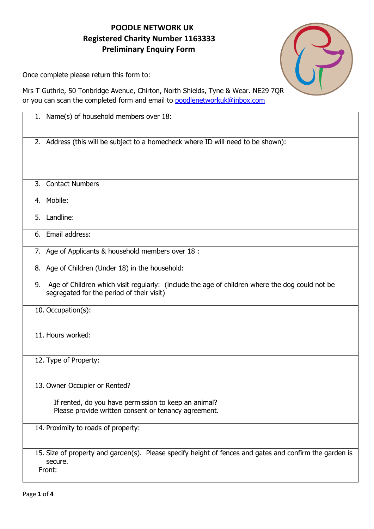## **POODLE NETWORK UK Registered Charity Number 1163333 Preliminary Enquiry Form**

Once complete please return this form to:

Mrs T Guthrie, 50 Tonbridge Avenue, Chirton, North Shields, Tyne & Wear. NE29 7QR or you can scan the completed form and email to [poodlenetworkuk@inbox.com](mailto:poodlenetworkuk@inbox.com)

|    | 1. Name(s) of household members over 18:                                                                                                    |
|----|---------------------------------------------------------------------------------------------------------------------------------------------|
|    | 2. Address (this will be subject to a homecheck where ID will need to be shown):                                                            |
| 3. | <b>Contact Numbers</b>                                                                                                                      |
|    | 4. Mobile:                                                                                                                                  |
| 5. | Landline:                                                                                                                                   |
|    | 6. Email address:                                                                                                                           |
|    | 7. Age of Applicants & household members over 18 :                                                                                          |
|    | 8. Age of Children (Under 18) in the household:                                                                                             |
| 9. | Age of Children which visit regularly: (include the age of children where the dog could not be<br>segregated for the period of their visit) |
|    | 10. Occupation(s):                                                                                                                          |
|    | 11. Hours worked:                                                                                                                           |
|    | 12. Type of Property:                                                                                                                       |
|    | 13. Owner Occupier or Rented?                                                                                                               |
|    | If rented, do you have permission to keep an animal?<br>Please provide written consent or tenancy agreement.                                |
|    | 14. Proximity to roads of property:                                                                                                         |
|    | 15. Size of property and garden(s). Please specify height of fences and gates and confirm the garden is<br>secure.<br>Front:                |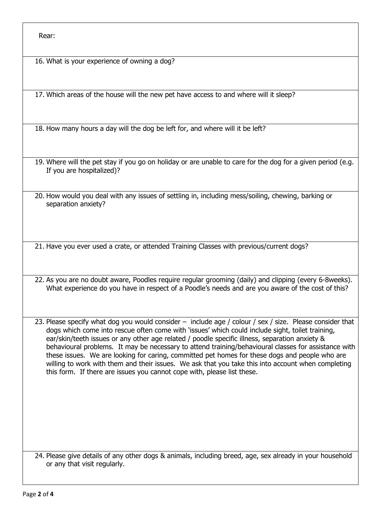Rear:

16. What is your experience of owning a dog?

17. Which areas of the house will the new pet have access to and where will it sleep?

18. How many hours a day will the dog be left for, and where will it be left?

19. Where will the pet stay if you go on holiday or are unable to care for the dog for a given period (e.g. If you are hospitalized)?

20. How would you deal with any issues of settling in, including mess/soiling, chewing, barking or separation anxiety?

21. Have you ever used a crate, or attended Training Classes with previous/current dogs?

22. As you are no doubt aware, Poodles require regular grooming (daily) and clipping (every 6-8weeks). What experience do you have in respect of a Poodle's needs and are you aware of the cost of this?

23. Please specify what dog you would consider – include age / colour / sex / size. Please consider that dogs which come into rescue often come with 'issues' which could include sight, toilet training, ear/skin/teeth issues or any other age related / poodle specific illness, separation anxiety & behavioural problems. It may be necessary to attend training/behavioural classes for assistance with these issues. We are looking for caring, committed pet homes for these dogs and people who are willing to work with them and their issues. We ask that you take this into account when completing this form. If there are issues you cannot cope with, please list these.

24. Please give details of any other dogs & animals, including breed, age, sex already in your household or any that visit regularly.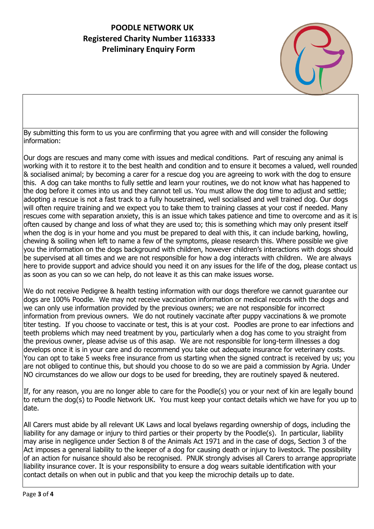## **POODLE NETWORK UK Registered Charity Number 1163333 Preliminary Enquiry Form**



By submitting this form to us you are confirming that you agree with and will consider the following information:

Our dogs are rescues and many come with issues and medical conditions. Part of rescuing any animal is working with it to restore it to the best health and condition and to ensure it becomes a valued, well rounded & socialised animal; by becoming a carer for a rescue dog you are agreeing to work with the dog to ensure this. A dog can take months to fully settle and learn your routines, we do not know what has happened to the dog before it comes into us and they cannot tell us. You must allow the dog time to adjust and settle; adopting a rescue is not a fast track to a fully housetrained, well socialised and well trained dog. Our dogs will often require training and we expect you to take them to training classes at your cost if needed. Many rescues come with separation anxiety, this is an issue which takes patience and time to overcome and as it is often caused by change and loss of what they are used to; this is something which may only present itself when the dog is in your home and you must be prepared to deal with this, it can include barking, howling, chewing & soiling when left to name a few of the symptoms, please research this. Where possible we give you the information on the dogs background with children, however children's interactions with dogs should be supervised at all times and we are not responsible for how a dog interacts with children. We are always here to provide support and advice should you need it on any issues for the life of the dog, please contact us as soon as you can so we can help, do not leave it as this can make issues worse.

We do not receive Pedigree & health testing information with our dogs therefore we cannot guarantee our dogs are 100% Poodle. We may not receive vaccination information or medical records with the dogs and we can only use information provided by the previous owners; we are not responsible for incorrect information from previous owners. We do not routinely vaccinate after puppy vaccinations & we promote titer testing. If you choose to vaccinate or test, this is at your cost. Poodles are prone to ear infections and teeth problems which may need treatment by you, particularly when a dog has come to you straight from the previous owner, please advise us of this asap. We are not responsible for long-term illnesses a dog develops once it is in your care and do recommend you take out adequate insurance for veterinary costs. You can opt to take 5 weeks free insurance from us starting when the signed contract is received by us; you are not obliged to continue this, but should you choose to do so we are paid a commission by Agria. Under NO circumstances do we allow our dogs to be used for breeding, they are routinely spayed & neutered.

If, for any reason, you are no longer able to care for the Poodle(s) you or your next of kin are legally bound to return the dog(s) to Poodle Network UK. You must keep your contact details which we have for you up to date.

All Carers must abide by all relevant UK Laws and local byelaws regarding ownership of dogs, including the liability for any damage or injury to third parties or their property by the Poodle(s). In particular, liability may arise in negligence under Section 8 of the Animals Act 1971 and in the case of dogs, Section 3 of the Act imposes a general liability to the keeper of a dog for causing death or injury to livestock. The possibility of an action for nuisance should also be recognised. PNUK strongly advises all Carers to arrange appropriate liability insurance cover. It is your responsibility to ensure a dog wears suitable identification with your contact details on when out in public and that you keep the microchip details up to date.